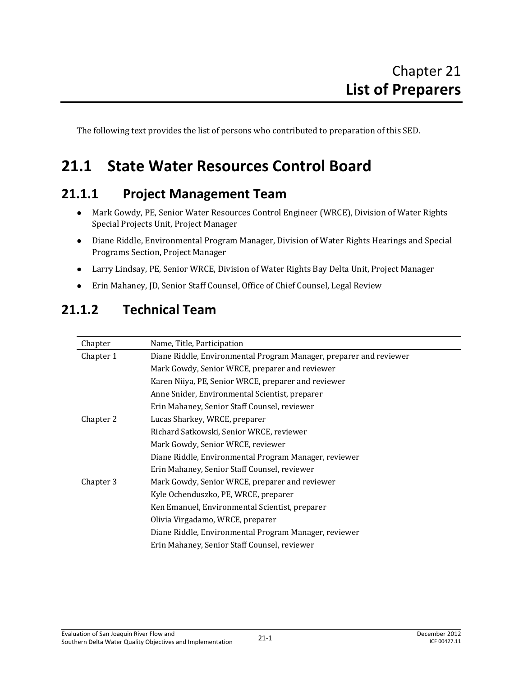The following text provides the list of persons who contributed to preparation of this SED.

# **21.1 State Water Resources Control Board**

### **21.1.1 Project Management Team**

- Mark Gowdy, PE, Senior Water Resources Control Engineer (WRCE), Division of Water Rights Special Projects Unit, Project Manager
- Diane Riddle, Environmental Program Manager, Division of Water Rights Hearings and Special Programs Section, Project Manager
- Larry Lindsay, PE, Senior WRCE, Division of Water Rights Bay Delta Unit, Project Manager
- Erin Mahaney, JD, Senior Staff Counsel, Office of Chief Counsel, Legal Review

| Chapter   | Name, Title, Participation                                         |
|-----------|--------------------------------------------------------------------|
| Chapter 1 | Diane Riddle, Environmental Program Manager, preparer and reviewer |
|           | Mark Gowdy, Senior WRCE, preparer and reviewer                     |
|           | Karen Niiya, PE, Senior WRCE, preparer and reviewer                |
|           | Anne Snider, Environmental Scientist, preparer                     |
|           | Erin Mahaney, Senior Staff Counsel, reviewer                       |
| Chapter 2 | Lucas Sharkey, WRCE, preparer                                      |
|           | Richard Satkowski, Senior WRCE, reviewer                           |
|           | Mark Gowdy, Senior WRCE, reviewer                                  |
|           | Diane Riddle, Environmental Program Manager, reviewer              |
|           | Erin Mahaney, Senior Staff Counsel, reviewer                       |
| Chapter 3 | Mark Gowdy, Senior WRCE, preparer and reviewer                     |
|           | Kyle Ochenduszko, PE, WRCE, preparer                               |
|           | Ken Emanuel, Environmental Scientist, preparer                     |
|           | Olivia Virgadamo, WRCE, preparer                                   |
|           | Diane Riddle, Environmental Program Manager, reviewer              |
|           | Erin Mahaney, Senior Staff Counsel, reviewer                       |
|           |                                                                    |

### **21.1.2 Technical Team**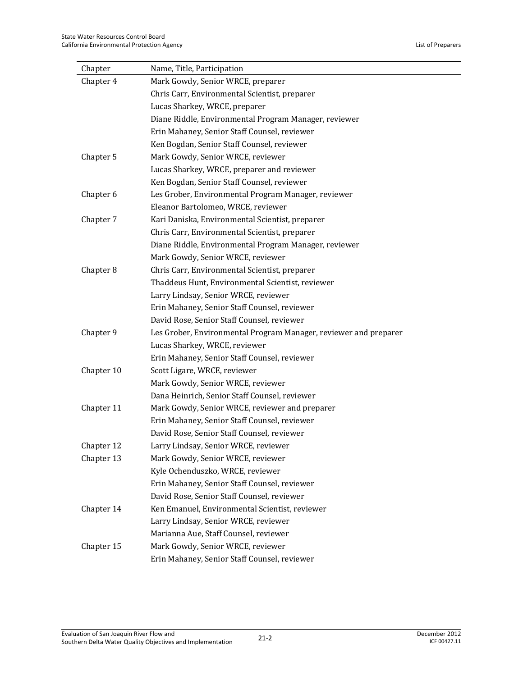| Chapter    | Name, Title, Participation                                       |
|------------|------------------------------------------------------------------|
| Chapter 4  | Mark Gowdy, Senior WRCE, preparer                                |
|            | Chris Carr, Environmental Scientist, preparer                    |
|            | Lucas Sharkey, WRCE, preparer                                    |
|            | Diane Riddle, Environmental Program Manager, reviewer            |
|            | Erin Mahaney, Senior Staff Counsel, reviewer                     |
|            | Ken Bogdan, Senior Staff Counsel, reviewer                       |
| Chapter 5  | Mark Gowdy, Senior WRCE, reviewer                                |
|            | Lucas Sharkey, WRCE, preparer and reviewer                       |
|            | Ken Bogdan, Senior Staff Counsel, reviewer                       |
| Chapter 6  | Les Grober, Environmental Program Manager, reviewer              |
|            | Eleanor Bartolomeo, WRCE, reviewer                               |
| Chapter 7  | Kari Daniska, Environmental Scientist, preparer                  |
|            | Chris Carr, Environmental Scientist, preparer                    |
|            | Diane Riddle, Environmental Program Manager, reviewer            |
|            | Mark Gowdy, Senior WRCE, reviewer                                |
| Chapter 8  | Chris Carr, Environmental Scientist, preparer                    |
|            | Thaddeus Hunt, Environmental Scientist, reviewer                 |
|            | Larry Lindsay, Senior WRCE, reviewer                             |
|            | Erin Mahaney, Senior Staff Counsel, reviewer                     |
|            | David Rose, Senior Staff Counsel, reviewer                       |
| Chapter 9  | Les Grober, Environmental Program Manager, reviewer and preparer |
|            | Lucas Sharkey, WRCE, reviewer                                    |
|            | Erin Mahaney, Senior Staff Counsel, reviewer                     |
| Chapter 10 | Scott Ligare, WRCE, reviewer                                     |
|            | Mark Gowdy, Senior WRCE, reviewer                                |
|            | Dana Heinrich, Senior Staff Counsel, reviewer                    |
| Chapter 11 | Mark Gowdy, Senior WRCE, reviewer and preparer                   |
|            | Erin Mahaney, Senior Staff Counsel, reviewer                     |
|            | David Rose, Senior Staff Counsel, reviewer                       |
| Chapter 12 | Larry Lindsay, Senior WRCE, reviewer                             |
| Chapter 13 | Mark Gowdy, Senior WRCE, reviewer                                |
|            | Kyle Ochenduszko, WRCE, reviewer                                 |
|            | Erin Mahaney, Senior Staff Counsel, reviewer                     |
|            | David Rose, Senior Staff Counsel, reviewer                       |
| Chapter 14 | Ken Emanuel, Environmental Scientist, reviewer                   |
|            | Larry Lindsay, Senior WRCE, reviewer                             |
|            | Marianna Aue, Staff Counsel, reviewer                            |
| Chapter 15 | Mark Gowdy, Senior WRCE, reviewer                                |
|            | Erin Mahaney, Senior Staff Counsel, reviewer                     |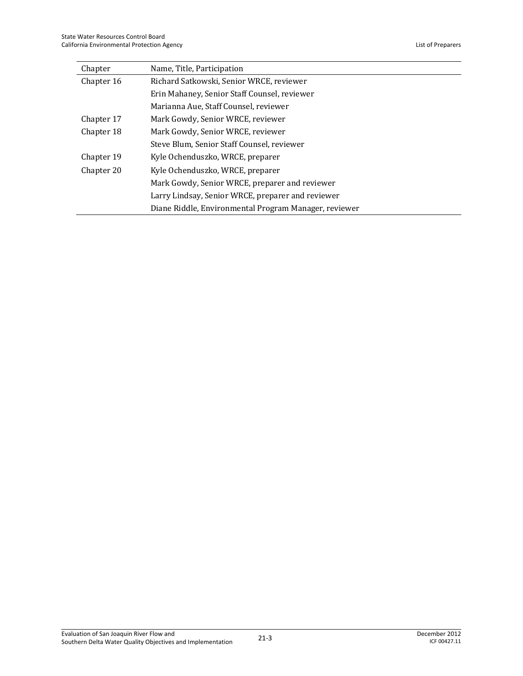| Chapter                                        | Name, Title, Participation                            |
|------------------------------------------------|-------------------------------------------------------|
| Chapter 16                                     | Richard Satkowski, Senior WRCE, reviewer              |
|                                                | Erin Mahaney, Senior Staff Counsel, reviewer          |
|                                                | Marianna Aue, Staff Counsel, reviewer                 |
| Chapter 17                                     | Mark Gowdy, Senior WRCE, reviewer                     |
| Chapter 18                                     | Mark Gowdy, Senior WRCE, reviewer                     |
|                                                | Steve Blum, Senior Staff Counsel, reviewer            |
| Chapter 19                                     | Kyle Ochenduszko, WRCE, preparer                      |
| Kyle Ochenduszko, WRCE, preparer<br>Chapter 20 |                                                       |
|                                                | Mark Gowdy, Senior WRCE, preparer and reviewer        |
|                                                | Larry Lindsay, Senior WRCE, preparer and reviewer     |
|                                                | Diane Riddle, Environmental Program Manager, reviewer |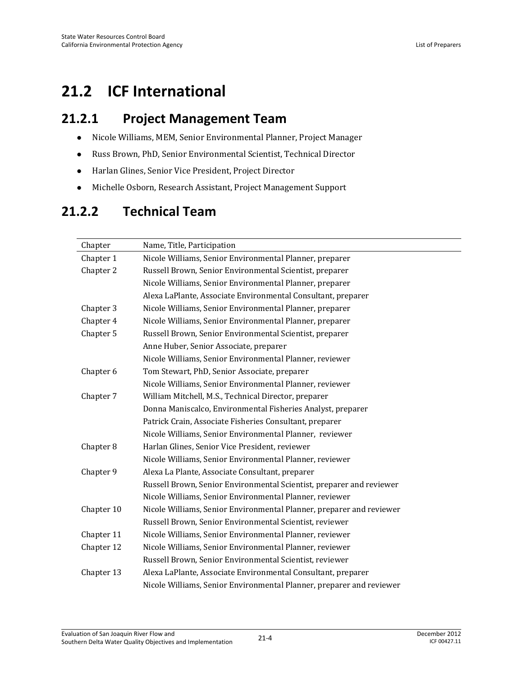# **21.2 ICF International**

### **21.2.1 Project Management Team**

- Nicole Williams, MEM, Senior Environmental Planner, Project Manager
- Russ Brown, PhD, Senior Environmental Scientist, Technical Director
- Harlan Glines, Senior Vice President, Project Director
- Michelle Osborn, Research Assistant, Project Management Support

## **21.2.2 Technical Team**

| Chapter    | Name, Title, Participation                                           |
|------------|----------------------------------------------------------------------|
| Chapter 1  | Nicole Williams, Senior Environmental Planner, preparer              |
| Chapter 2  | Russell Brown, Senior Environmental Scientist, preparer              |
|            | Nicole Williams, Senior Environmental Planner, preparer              |
|            | Alexa LaPlante, Associate Environmental Consultant, preparer         |
| Chapter 3  | Nicole Williams, Senior Environmental Planner, preparer              |
| Chapter 4  | Nicole Williams, Senior Environmental Planner, preparer              |
| Chapter 5  | Russell Brown, Senior Environmental Scientist, preparer              |
|            | Anne Huber, Senior Associate, preparer                               |
|            | Nicole Williams, Senior Environmental Planner, reviewer              |
| Chapter 6  | Tom Stewart, PhD, Senior Associate, preparer                         |
|            | Nicole Williams, Senior Environmental Planner, reviewer              |
| Chapter 7  | William Mitchell, M.S., Technical Director, preparer                 |
|            | Donna Maniscalco, Environmental Fisheries Analyst, preparer          |
|            | Patrick Crain, Associate Fisheries Consultant, preparer              |
|            | Nicole Williams, Senior Environmental Planner, reviewer              |
| Chapter 8  | Harlan Glines, Senior Vice President, reviewer                       |
|            | Nicole Williams, Senior Environmental Planner, reviewer              |
| Chapter 9  | Alexa La Plante, Associate Consultant, preparer                      |
|            | Russell Brown, Senior Environmental Scientist, preparer and reviewer |
|            | Nicole Williams, Senior Environmental Planner, reviewer              |
| Chapter 10 | Nicole Williams, Senior Environmental Planner, preparer and reviewer |
|            | Russell Brown, Senior Environmental Scientist, reviewer              |
| Chapter 11 | Nicole Williams, Senior Environmental Planner, reviewer              |
| Chapter 12 | Nicole Williams, Senior Environmental Planner, reviewer              |
|            | Russell Brown, Senior Environmental Scientist, reviewer              |
| Chapter 13 | Alexa LaPlante, Associate Environmental Consultant, preparer         |
|            | Nicole Williams, Senior Environmental Planner, preparer and reviewer |